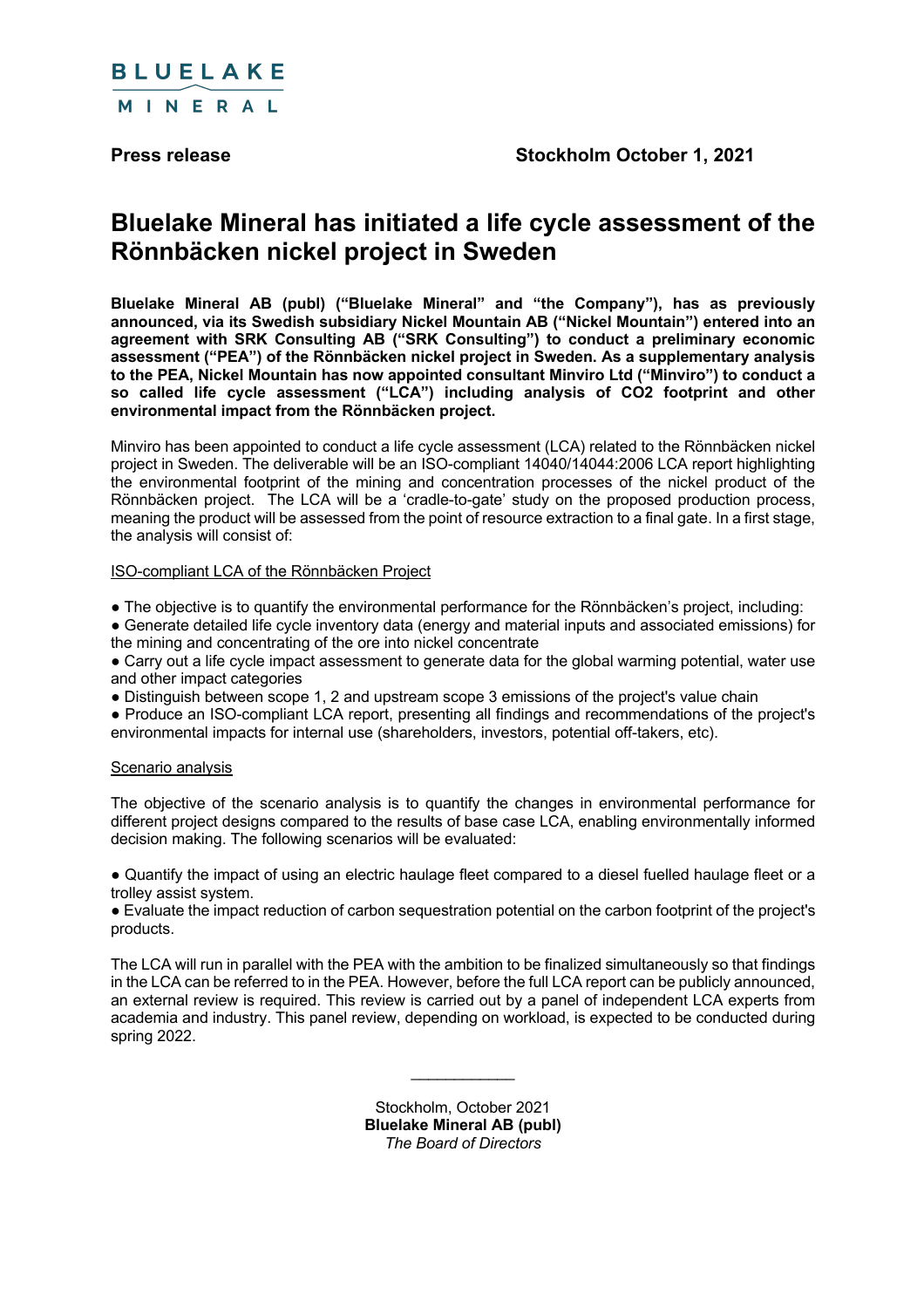

# **Bluelake Mineral has initiated a life cycle assessment of the Rönnbäcken nickel project in Sweden**

**Bluelake Mineral AB (publ) ("Bluelake Mineral" and "the Company"), has as previously announced, via its Swedish subsidiary Nickel Mountain AB ("Nickel Mountain") entered into an agreement with SRK Consulting AB ("SRK Consulting") to conduct a preliminary economic assessment ("PEA") of the Rönnbäcken nickel project in Sweden. As a supplementary analysis to the PEA, Nickel Mountain has now appointed consultant Minviro Ltd ("Minviro") to conduct a so called life cycle assessment ("LCA") including analysis of CO2 footprint and other environmental impact from the Rönnbäcken project.**

Minviro has been appointed to conduct a life cycle assessment (LCA) related to the Rönnbäcken nickel project in Sweden. The deliverable will be an ISO-compliant 14040/14044:2006 LCA report highlighting the environmental footprint of the mining and concentration processes of the nickel product of the Rönnbäcken project. The LCA will be a 'cradle-to-gate' study on the proposed production process, meaning the product will be assessed from the point of resource extraction to a final gate. In a first stage, the analysis will consist of:

# ISO-compliant LCA of the Rönnbäcken Project

• The objective is to quantify the environmental performance for the Rönnbäcken's project, including:

● Generate detailed life cycle inventory data (energy and material inputs and associated emissions) for the mining and concentrating of the ore into nickel concentrate

● Carry out a life cycle impact assessment to generate data for the global warming potential, water use and other impact categories

• Distinguish between scope 1, 2 and upstream scope 3 emissions of the project's value chain

● Produce an ISO-compliant LCA report, presenting all findings and recommendations of the project's environmental impacts for internal use (shareholders, investors, potential off-takers, etc).

## Scenario analysis

The objective of the scenario analysis is to quantify the changes in environmental performance for different project designs compared to the results of base case LCA, enabling environmentally informed decision making. The following scenarios will be evaluated:

● Quantify the impact of using an electric haulage fleet compared to a diesel fuelled haulage fleet or a trolley assist system.

● Evaluate the impact reduction of carbon sequestration potential on the carbon footprint of the project's products.

The LCA will run in parallel with the PEA with the ambition to be finalized simultaneously so that findings in the LCA can be referred to in the PEA. However, before the full LCA report can be publicly announced, an external review is required. This review is carried out by a panel of independent LCA experts from academia and industry. This panel review, depending on workload, is expected to be conducted during spring 2022.

> Stockholm, October 2021 **Bluelake Mineral AB (publ)** *The Board of Directors*

 $\mathcal{L}_\text{max}$